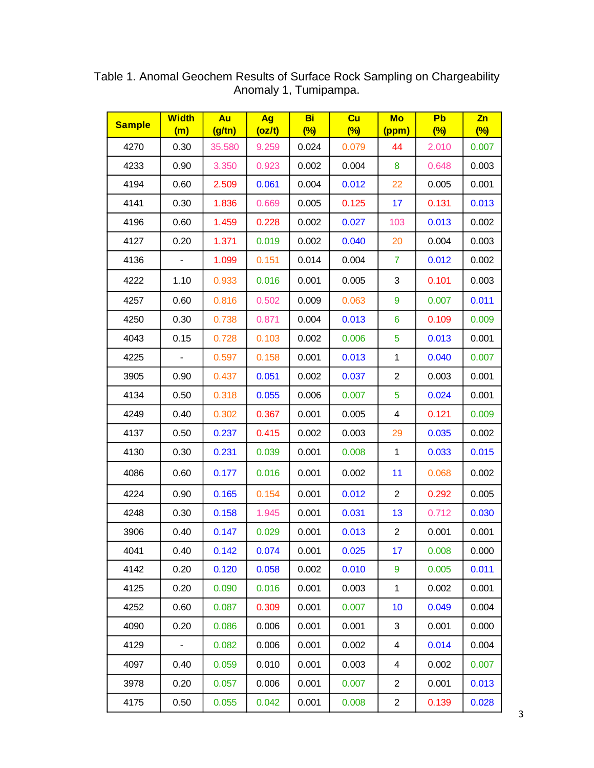| <b>Sample</b> | <b>Width</b><br>(m)      | Au<br>(g/tn) | Ag<br>(oz/t) | Bi<br>$\frac{(\%)}{(\%)}$ | Cu<br>$\frac{(\%)}{(\%)}$ | Mo<br>(ppm)               | Pb<br>$(\%)$ | $\mathsf{Zn}$<br>(%) |
|---------------|--------------------------|--------------|--------------|---------------------------|---------------------------|---------------------------|--------------|----------------------|
| 4270          | 0.30                     | 35.580       | 9.259        | 0.024                     | 0.079                     | 44                        | 2.010        | 0.007                |
| 4233          | 0.90                     | 3.350        | 0.923        | 0.002                     | 0.004                     | 8                         | 0.648        | 0.003                |
| 4194          | 0.60                     | 2.509        | 0.061        | 0.004                     | 0.012                     | 22                        | 0.005        | 0.001                |
| 4141          | 0.30                     | 1.836        | 0.669        | 0.005                     | 0.125                     | 17                        | 0.131        | 0.013                |
| 4196          | 0.60                     | 1.459        | 0.228        | 0.002                     | 0.027                     | 103                       | 0.013        | 0.002                |
| 4127          | 0.20                     | 1.371        | 0.019        | 0.002                     | 0.040                     | 20                        | 0.004        | 0.003                |
| 4136          | $\blacksquare$           | 1.099        | 0.151        | 0.014                     | 0.004                     | 7                         | 0.012        | 0.002                |
| 4222          | 1.10                     | 0.933        | 0.016        | 0.001                     | 0.005                     | $\ensuremath{\mathsf{3}}$ | 0.101        | 0.003                |
| 4257          | 0.60                     | 0.816        | 0.502        | 0.009                     | 0.063                     | 9                         | 0.007        | 0.011                |
| 4250          | 0.30                     | 0.738        | 0.871        | 0.004                     | 0.013                     | 6                         | 0.109        | 0.009                |
| 4043          | 0.15                     | 0.728        | 0.103        | 0.002                     | 0.006                     | 5                         | 0.013        | 0.001                |
| 4225          | $\blacksquare$           | 0.597        | 0.158        | 0.001                     | 0.013                     | $\mathbf{1}$              | 0.040        | 0.007                |
| 3905          | 0.90                     | 0.437        | 0.051        | 0.002                     | 0.037                     | $\overline{c}$            | 0.003        | 0.001                |
| 4134          | 0.50                     | 0.318        | 0.055        | 0.006                     | 0.007                     | 5                         | 0.024        | 0.001                |
| 4249          | 0.40                     | 0.302        | 0.367        | 0.001                     | 0.005                     | 4                         | 0.121        | 0.009                |
| 4137          | 0.50                     | 0.237        | 0.415        | 0.002                     | 0.003                     | 29                        | 0.035        | 0.002                |
| 4130          | 0.30                     | 0.231        | 0.039        | 0.001                     | 0.008                     | $\mathbf 1$               | 0.033        | 0.015                |
| 4086          | 0.60                     | 0.177        | 0.016        | 0.001                     | 0.002                     | 11                        | 0.068        | 0.002                |
| 4224          | 0.90                     | 0.165        | 0.154        | 0.001                     | 0.012                     | $\overline{2}$            | 0.292        | 0.005                |
| 4248          | 0.30                     | 0.158        | 1.945        | 0.001                     | 0.031                     | 13                        | 0.712        | 0.030                |
| 3906          | 0.40                     | 0.147        | 0.029        | 0.001                     | 0.013                     | $\overline{2}$            | 0.001        | 0.001                |
| 4041          | 0.40                     | 0.142        | 0.074        | 0.001                     | 0.025                     | 17                        | 0.008        | 0.000                |
| 4142          | 0.20                     | 0.120        | 0.058        | 0.002                     | 0.010                     | 9                         | 0.005        | 0.011                |
| 4125          | 0.20                     | 0.090        | 0.016        | 0.001                     | 0.003                     | $\mathbf{1}$              | 0.002        | 0.001                |
| 4252          | 0.60                     | 0.087        | 0.309        | 0.001                     | 0.007                     | 10 <sup>1</sup>           | 0.049        | 0.004                |
| 4090          | 0.20                     | 0.086        | 0.006        | 0.001                     | 0.001                     | 3                         | 0.001        | 0.000                |
| 4129          | $\overline{\phantom{0}}$ | 0.082        | 0.006        | 0.001                     | 0.002                     | 4                         | 0.014        | 0.004                |
| 4097          | 0.40                     | 0.059        | 0.010        | 0.001                     | 0.003                     | 4                         | 0.002        | 0.007                |
| 3978          | 0.20                     | 0.057        | 0.006        | 0.001                     | 0.007                     | $\overline{c}$            | 0.001        | 0.013                |
| 4175          | 0.50                     | 0.055        | 0.042        | 0.001                     | 0.008                     | $\overline{c}$            | 0.139        | 0.028                |

Table 1. Anomal Geochem Results of Surface Rock Sampling on Chargeability Anomaly 1, Tumipampa.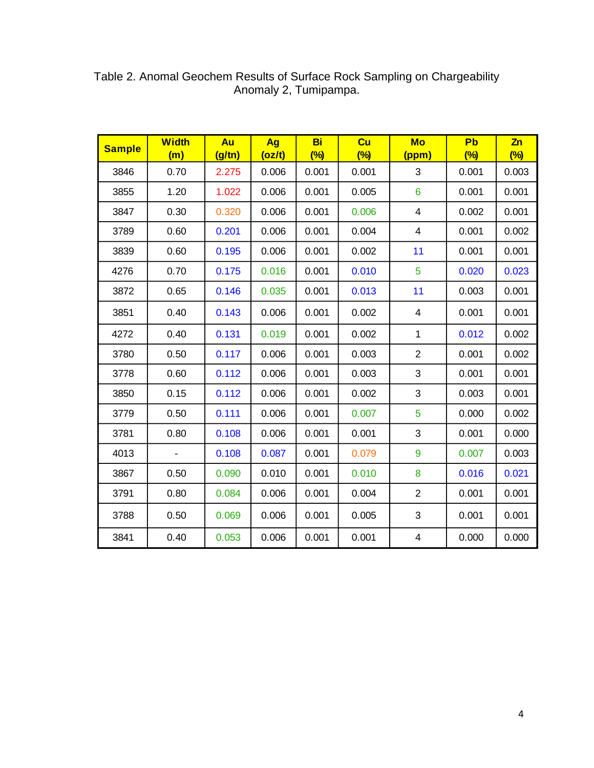| <b>Sample</b> | <b>Width</b><br>(m) | Au<br>(g/tn) | Ag<br>(oz/t) | Bi<br>$\frac{(\%)}{(\%)}$ | Cu<br>$\frac{1}{2}$ | <b>Mo</b><br>(ppm)      | Pb<br>$\frac{(\%)}{(\%)}$ | Zn<br>$\frac{(\%)}{(\%)}$ |
|---------------|---------------------|--------------|--------------|---------------------------|---------------------|-------------------------|---------------------------|---------------------------|
| 3846          | 0.70                | 2.275        | 0.006        | 0.001                     | 0.001               | 3                       | 0.001                     | 0.003                     |
| 3855          | 1.20                | 1.022        | 0.006        | 0.001                     | 0.005               | 6                       | 0.001                     | 0.001                     |
| 3847          | 0.30                | 0.320        | 0.006        | 0.001                     | 0.006               | $\overline{\mathbf{4}}$ | 0.002                     | 0.001                     |
| 3789          | 0.60                | 0.201        | 0.006        | 0.001                     | 0.004               | $\overline{\mathbf{4}}$ | 0.001                     | 0.002                     |
| 3839          | 0.60                | 0.195        | 0.006        | 0.001                     | 0.002               | 11                      | 0.001                     | 0.001                     |
| 4276          | 0.70                | 0.175        | 0.016        | 0.001                     | 0.010               | 5                       | 0.020                     | 0.023                     |
| 3872          | 0.65                | 0.146        | 0.035        | 0.001                     | 0.013               | 11                      | 0.003                     | 0.001                     |
| 3851          | 0.40                | 0.143        | 0.006        | 0.001                     | 0.002               | $\overline{\mathbf{4}}$ | 0.001                     | 0.001                     |
| 4272          | 0.40                | 0.131        | 0.019        | 0.001                     | 0.002               | $\mathbf{1}$            | 0.012                     | 0.002                     |
| 3780          | 0.50                | 0.117        | 0.006        | 0.001                     | 0.003               | $\overline{2}$          | 0.001                     | 0.002                     |
| 3778          | 0.60                | 0.112        | 0.006        | 0.001                     | 0.003               | 3                       | 0.001                     | 0.001                     |
| 3850          | 0.15                | 0.112        | 0.006        | 0.001                     | 0.002               | 3                       | 0.003                     | 0.001                     |
| 3779          | 0.50                | 0.111        | 0.006        | 0.001                     | 0.007               | 5                       | 0.000                     | 0.002                     |
| 3781          | 0.80                | 0.108        | 0.006        | 0.001                     | 0.001               | 3                       | 0.001                     | 0.000                     |
| 4013          |                     | 0.108        | 0.087        | 0.001                     | 0.079               | 9                       | 0.007                     | 0.003                     |
| 3867          | 0.50                | 0.090        | 0.010        | 0.001                     | 0.010               | 8                       | 0.016                     | 0.021                     |
| 3791          | 0.80                | 0.084        | 0.006        | 0.001                     | 0.004               | $\overline{2}$          | 0.001                     | 0.001                     |
| 3788          | 0.50                | 0.069        | 0.006        | 0.001                     | 0.005               | 3                       | 0.001                     | 0.001                     |
| 3841          | 0.40                | 0.053        | 0.006        | 0.001                     | 0.001               | $\overline{\mathbf{4}}$ | 0.000                     | 0.000                     |

Table 2. Anomal Geochem Results of Surface Rock Sampling on Chargeability Anomaly 2, Tumipampa.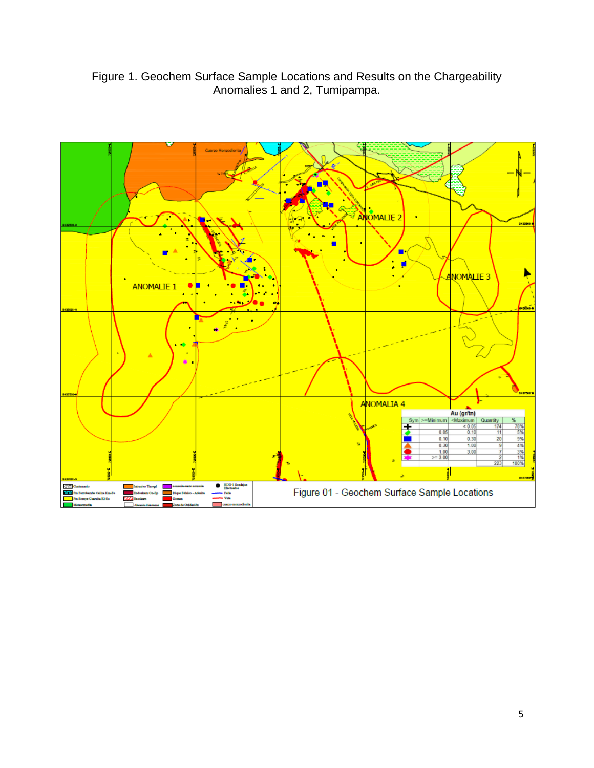Figure 1. Geochem Surface Sample Locations and Results on the Chargeability Anomalies 1 and 2, Tumipampa.